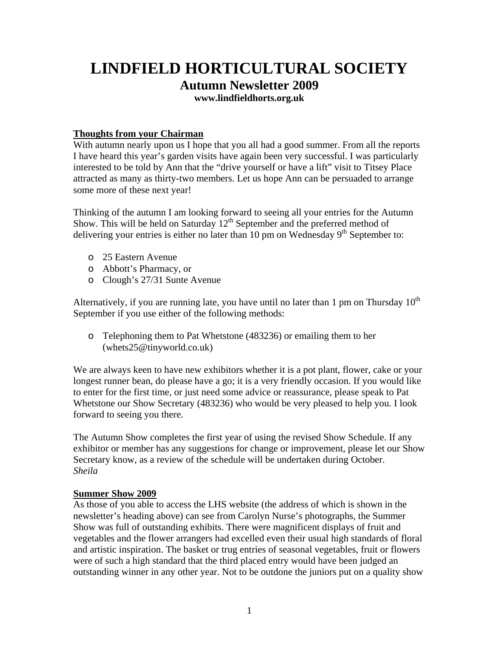# **LINDFIELD HORTICULTURAL SOCIETY Autumn Newsletter 2009 [www.lindfieldhorts.org.uk](http://www.lindfieldhorts.org.uk/)**

# **Thoughts from your Chairman**

With autumn nearly upon us I hope that you all had a good summer. From all the reports I have heard this year's garden visits have again been very successful. I was particularly interested to be told by Ann that the "drive yourself or have a lift" visit to Titsey Place attracted as many as thirty-two members. Let us hope Ann can be persuaded to arrange some more of these next year!

Thinking of the autumn I am looking forward to seeing all your entries for the Autumn Show. This will be held on Saturday  $12<sup>th</sup>$  September and the preferred method of delivering your entries is either no later than 10 pm on Wednesday  $9<sup>th</sup>$  September to:

- o 25 Eastern Avenue
- o Abbott's Pharmacy, or
- o Clough's 27/31 Sunte Avenue

Alternatively, if you are running late, you have until no later than 1 pm on Thursday  $10<sup>th</sup>$ September if you use either of the following methods:

o Telephoning them to Pat Whetstone (483236) or emailing them to her ([whets25@tinyworld.co.uk](mailto:whets25@tinyworld.co.uk))

We are always keen to have new exhibitors whether it is a pot plant, flower, cake or your longest runner bean, do please have a go; it is a very friendly occasion. If you would like to enter for the first time, or just need some advice or reassurance, please speak to Pat Whetstone our Show Secretary (483236) who would be very pleased to help you. I look forward to seeing you there.

The Autumn Show completes the first year of using the revised Show Schedule. If any exhibitor or member has any suggestions for change or improvement, please let our Show Secretary know, as a review of the schedule will be undertaken during October. *Sheila* 

### **Summer Show 2009**

As those of you able to access the LHS website (the address of which is shown in the newsletter's heading above) can see from Carolyn Nurse's photographs, the Summer Show was full of outstanding exhibits. There were magnificent displays of fruit and vegetables and the flower arrangers had excelled even their usual high standards of floral and artistic inspiration. The basket or trug entries of seasonal vegetables, fruit or flowers were of such a high standard that the third placed entry would have been judged an outstanding winner in any other year. Not to be outdone the juniors put on a quality show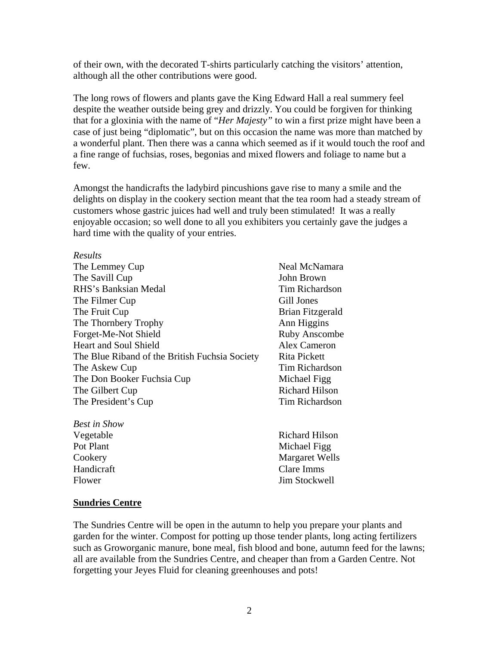of their own, with the decorated T-shirts particularly catching the visitors' attention, although all the other contributions were good.

The long rows of flowers and plants gave the King Edward Hall a real summery feel despite the weather outside being grey and drizzly. You could be forgiven for thinking that for a gloxinia with the name of "*Her Majesty"* to win a first prize might have been a case of just being "diplomatic", but on this occasion the name was more than matched by a wonderful plant. Then there was a canna which seemed as if it would touch the roof and a fine range of fuchsias, roses, begonias and mixed flowers and foliage to name but a few.

Amongst the handicrafts the ladybird pincushions gave rise to many a smile and the delights on display in the cookery section meant that the tea room had a steady stream of customers whose gastric juices had well and truly been stimulated! It was a really enjoyable occasion; so well done to all you exhibiters you certainly gave the judges a hard time with the quality of your entries.

| Results                                        |     |
|------------------------------------------------|-----|
| The Lemmey Cup                                 | Ne  |
| The Savill Cup                                 | Jol |
| RHS's Banksian Medal                           | Tii |
| The Filmer Cup                                 | Gil |
| The Fruit Cup                                  | Bri |
| The Thornbery Trophy                           | An  |
| Forget-Me-Not Shield                           | Ru  |
| <b>Heart and Soul Shield</b>                   | Al  |
| The Blue Riband of the British Fuchsia Society | Rit |
| The Askew Cup                                  | Tin |
| The Don Booker Fuchsia Cup                     | Mi  |
| The Gilbert Cup                                | Rio |
| The President's Cup                            | Tiı |

*Best in Show* Handicraft Clare Imms

al McNamara hn Brown m Richardson Il Jones ian Fitzgerald In Higgins by Anscombe ex Cameron ta Pickett m Richardson ichael Figg chard Hilson m Richardson

Vegetable Richard Hilson Pot Plant Michael Figg Cookery Margaret Wells Flower Jim Stockwell

# **Sundries Centre**

The Sundries Centre will be open in the autumn to help you prepare your plants and garden for the winter. Compost for potting up those tender plants, long acting fertilizers such as Groworganic manure, bone meal, fish blood and bone, autumn feed for the lawns; all are available from the Sundries Centre, and cheaper than from a Garden Centre. Not forgetting your Jeyes Fluid for cleaning greenhouses and pots!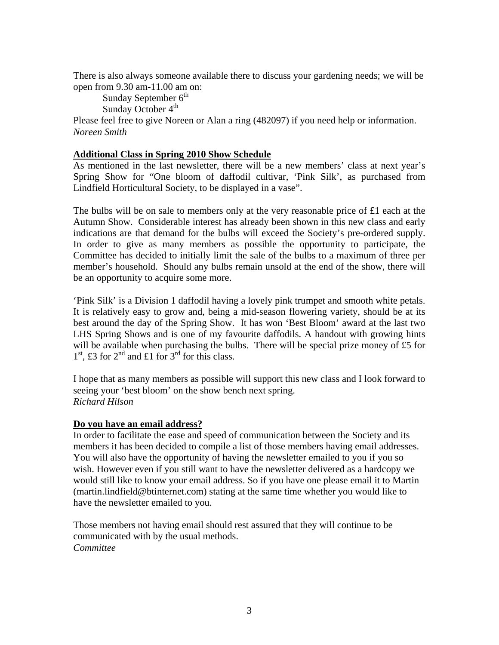There is also always someone available there to discuss your gardening needs; we will be open from 9.30 am-11.00 am on:

Sunday September  $6<sup>th</sup>$ Sunday October  $4<sup>th</sup>$ 

Please feel free to give Noreen or Alan a ring (482097) if you need help or information. *Noreen Smith* 

### **Additional Class in Spring 2010 Show Schedule**

As mentioned in the last newsletter, there will be a new members' class at next year's Spring Show for "One bloom of daffodil cultivar, 'Pink Silk', as purchased from Lindfield Horticultural Society, to be displayed in a vase".

The bulbs will be on sale to members only at the very reasonable price of £1 each at the Autumn Show. Considerable interest has already been shown in this new class and early indications are that demand for the bulbs will exceed the Society's pre-ordered supply. In order to give as many members as possible the opportunity to participate, the Committee has decided to initially limit the sale of the bulbs to a maximum of three per member's household. Should any bulbs remain unsold at the end of the show, there will be an opportunity to acquire some more.

'Pink Silk' is a Division 1 daffodil having a lovely pink trumpet and smooth white petals. It is relatively easy to grow and, being a mid-season flowering variety, should be at its best around the day of the Spring Show. It has won 'Best Bloom' award at the last two LHS Spring Shows and is one of my favourite daffodils. A handout with growing hints will be available when purchasing the bulbs. There will be special prize money of £5 for  $1<sup>st</sup>$ , £3 for  $2<sup>nd</sup>$  and £1 for  $3<sup>rd</sup>$  for this class.

I hope that as many members as possible will support this new class and I look forward to seeing your 'best bloom' on the show bench next spring. *Richard Hilson* 

#### **Do you have an email address?**

In order to facilitate the ease and speed of communication between the Society and its members it has been decided to compile a list of those members having email addresses. You will also have the opportunity of having the newsletter emailed to you if you so wish. However even if you still want to have the newsletter delivered as a hardcopy we would still like to know your email address. So if you have one please email it to Martin ([martin.lindfield@btinternet.com\)](mailto:martin.lindfield@btinternet.com) stating at the same time whether you would like to have the newsletter emailed to you.

Those members not having email should rest assured that they will continue to be communicated with by the usual methods. *Committee*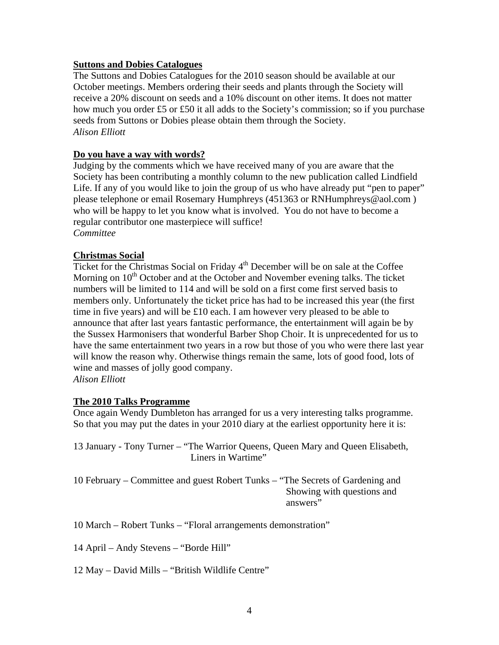### **Suttons and Dobies Catalogues**

The Suttons and Dobies Catalogues for the 2010 season should be available at our October meetings. Members ordering their seeds and plants through the Society will receive a 20% discount on seeds and a 10% discount on other items. It does not matter how much you order £5 or £50 it all adds to the Society's commission; so if you purchase seeds from Suttons or Dobies please obtain them through the Society. *Alison Elliott*

# **Do you have a way with words?**

Judging by the comments which we have received many of you are aware that the Society has been contributing a monthly column to the new publication called Lindfield Life. If any of you would like to join the group of us who have already put "pen to paper" please telephone or email Rosemary Humphreys (451363 or RNHumphreys@aol.com ) who will be happy to let you know what is involved. You do not have to become a regular contributor one masterpiece will suffice! *Committee* 

# **Christmas Social**

Ticket for the Christmas Social on Friday 4<sup>th</sup> December will be on sale at the Coffee Morning on  $10<sup>th</sup>$  October and at the October and November evening talks. The ticket numbers will be limited to 114 and will be sold on a first come first served basis to members only. Unfortunately the ticket price has had to be increased this year (the first time in five years) and will be  $\pounds 10$  each. I am however very pleased to be able to announce that after last years fantastic performance, the entertainment will again be by the Sussex Harmonisers that wonderful Barber Shop Choir. It is unprecedented for us to have the same entertainment two years in a row but those of you who were there last year will know the reason why. Otherwise things remain the same, lots of good food, lots of wine and masses of jolly good company. *Alison Elliott* 

### **The 2010 Talks Programme**

Once again Wendy Dumbleton has arranged for us a very interesting talks programme. So that you may put the dates in your 2010 diary at the earliest opportunity here it is:

13 January - Tony Turner – "The Warrior Queens, Queen Mary and Queen Elisabeth, Liners in Wartime"

10 February – Committee and guest Robert Tunks – "The Secrets of Gardening and Showing with questions and answers"

10 March – Robert Tunks – "Floral arrangements demonstration"

14 April – Andy Stevens – "Borde Hill"

12 May – David Mills – "British Wildlife Centre"